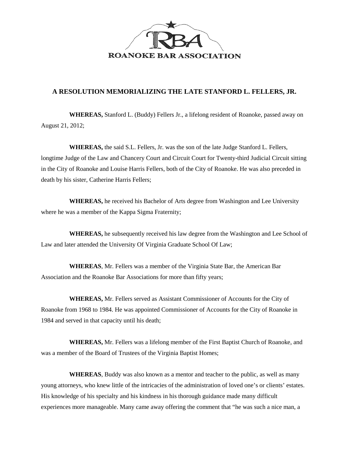

## **A RESOLUTION MEMORIALIZING THE LATE STANFORD L. FELLERS, JR.**

**WHEREAS,** Stanford L. (Buddy) Fellers Jr., a lifelong resident of Roanoke, passed away on August 21, 2012;

**WHEREAS,** the said S.L. Fellers, Jr. was the son of the late Judge Stanford L. Fellers, longtime Judge of the Law and Chancery Court and Circuit Court for Twenty-third Judicial Circuit sitting in the City of Roanoke and Louise Harris Fellers, both of the City of Roanoke. He was also preceded in death by his sister, Catherine Harris Fellers;

**WHEREAS,** he received his Bachelor of Arts degree from Washington and Lee University where he was a member of the Kappa Sigma Fraternity;

**WHEREAS,** he subsequently received his law degree from the Washington and Lee School of Law and later attended the University Of Virginia Graduate School Of Law;

**WHEREAS**, Mr. Fellers was a member of the Virginia State Bar, the American Bar Association and the Roanoke Bar Associations for more than fifty years;

**WHEREAS,** Mr. Fellers served as Assistant Commissioner of Accounts for the City of Roanoke from 1968 to 1984. He was appointed Commissioner of Accounts for the City of Roanoke in 1984 and served in that capacity until his death;

**WHEREAS,** Mr. Fellers was a lifelong member of the First Baptist Church of Roanoke, and was a member of the Board of Trustees of the Virginia Baptist Homes;

**WHEREAS**, Buddy was also known as a mentor and teacher to the public, as well as many young attorneys, who knew little of the intricacies of the administration of loved one's or clients' estates. His knowledge of his specialty and his kindness in his thorough guidance made many difficult experiences more manageable. Many came away offering the comment that "he was such a nice man, a